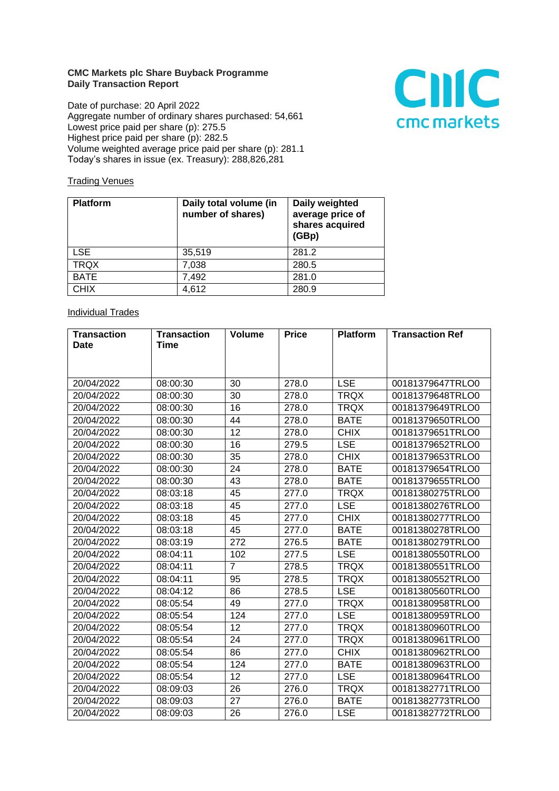## **CMC Markets plc Share Buyback Programme Daily Transaction Report**

Date of purchase: 20 April 2022 Aggregate number of ordinary shares purchased: 54,661 Lowest price paid per share (p): 275.5 Highest price paid per share (p): 282.5 Volume weighted average price paid per share (p): 281.1 Today's shares in issue (ex. Treasury): 288,826,281



## **Trading Venues**

| <b>Platform</b> | Daily total volume (in<br>number of shares) | Daily weighted<br>average price of<br>shares acquired<br>(GBp) |
|-----------------|---------------------------------------------|----------------------------------------------------------------|
| <b>LSE</b>      | 35,519                                      | 281.2                                                          |
| <b>TRQX</b>     | 7,038                                       | 280.5                                                          |
| <b>BATE</b>     | 7,492                                       | 281.0                                                          |
| <b>CHIX</b>     | 4,612                                       | 280.9                                                          |

## **Individual Trades**

| <b>Transaction</b> | <b>Transaction</b> | <b>Volume</b>   | <b>Price</b> | <b>Platform</b> | <b>Transaction Ref</b> |
|--------------------|--------------------|-----------------|--------------|-----------------|------------------------|
| <b>Date</b>        | Time               |                 |              |                 |                        |
|                    |                    |                 |              |                 |                        |
|                    |                    |                 |              |                 |                        |
| 20/04/2022         | 08:00:30           | 30              | 278.0        | <b>LSE</b>      | 00181379647TRLO0       |
| 20/04/2022         | 08:00:30           | 30              | 278.0        | <b>TRQX</b>     | 00181379648TRLO0       |
| 20/04/2022         | 08:00:30           | 16              | 278.0        | <b>TRQX</b>     | 00181379649TRLO0       |
| 20/04/2022         | 08:00:30           | 44              | 278.0        | <b>BATE</b>     | 00181379650TRLO0       |
| 20/04/2022         | 08:00:30           | 12              | 278.0        | <b>CHIX</b>     | 00181379651TRLO0       |
| 20/04/2022         | 08:00:30           | 16              | 279.5        | <b>LSE</b>      | 00181379652TRLO0       |
| 20/04/2022         | 08:00:30           | 35              | 278.0        | <b>CHIX</b>     | 00181379653TRLO0       |
| 20/04/2022         | 08:00:30           | 24              | 278.0        | <b>BATE</b>     | 00181379654TRLO0       |
| 20/04/2022         | 08:00:30           | 43              | 278.0        | <b>BATE</b>     | 00181379655TRLO0       |
| 20/04/2022         | 08:03:18           | 45              | 277.0        | <b>TRQX</b>     | 00181380275TRLO0       |
| 20/04/2022         | 08:03:18           | $\overline{45}$ | 277.0        | <b>LSE</b>      | 00181380276TRLO0       |
| 20/04/2022         | 08:03:18           | 45              | 277.0        | <b>CHIX</b>     | 00181380277TRLO0       |
| 20/04/2022         | 08:03:18           | 45              | 277.0        | <b>BATE</b>     | 00181380278TRLO0       |
| 20/04/2022         | 08:03:19           | 272             | 276.5        | <b>BATE</b>     | 00181380279TRLO0       |
| 20/04/2022         | 08:04:11           | 102             | 277.5        | <b>LSE</b>      | 00181380550TRLO0       |
| 20/04/2022         | 08:04:11           | $\overline{7}$  | 278.5        | <b>TRQX</b>     | 00181380551TRLO0       |
| 20/04/2022         | 08:04:11           | 95              | 278.5        | <b>TRQX</b>     | 00181380552TRLO0       |
| 20/04/2022         | 08:04:12           | 86              | 278.5        | <b>LSE</b>      | 00181380560TRLO0       |
| 20/04/2022         | 08:05:54           | 49              | 277.0        | <b>TRQX</b>     | 00181380958TRLO0       |
| 20/04/2022         | 08:05:54           | 124             | 277.0        | <b>LSE</b>      | 00181380959TRLO0       |
| 20/04/2022         | 08:05:54           | 12              | 277.0        | <b>TRQX</b>     | 00181380960TRLO0       |
| 20/04/2022         | 08:05:54           | 24              | 277.0        | <b>TRQX</b>     | 00181380961TRLO0       |
| 20/04/2022         | 08:05:54           | 86              | 277.0        | <b>CHIX</b>     | 00181380962TRLO0       |
| 20/04/2022         | 08:05:54           | 124             | 277.0        | <b>BATE</b>     | 00181380963TRLO0       |
| 20/04/2022         | 08:05:54           | 12              | 277.0        | <b>LSE</b>      | 00181380964TRLO0       |
| 20/04/2022         | 08:09:03           | 26              | 276.0        | <b>TRQX</b>     | 00181382771TRLO0       |
| 20/04/2022         | 08:09:03           | 27              | 276.0        | <b>BATE</b>     | 00181382773TRLO0       |
| 20/04/2022         | 08:09:03           | 26              | 276.0        | <b>LSE</b>      | 00181382772TRLO0       |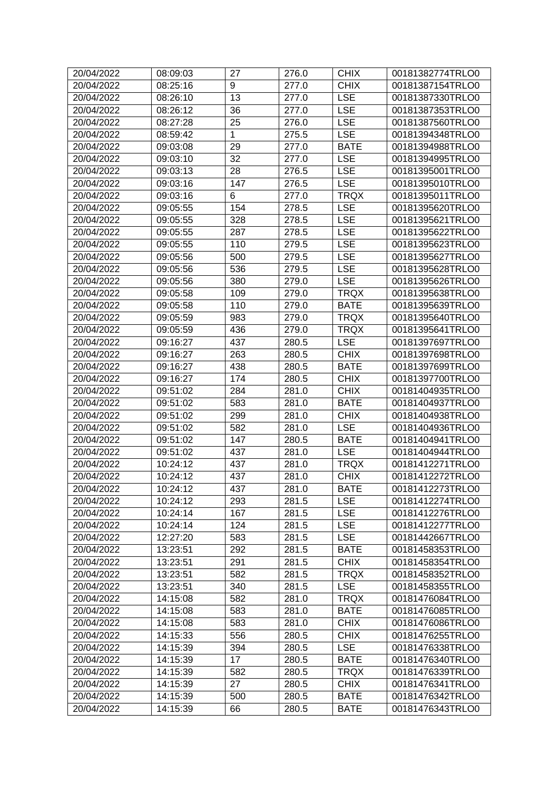| 20/04/2022 | 08:09:03 | 27  | 276.0 | <b>CHIX</b> | 00181382774TRLO0 |
|------------|----------|-----|-------|-------------|------------------|
| 20/04/2022 | 08:25:16 | 9   | 277.0 | <b>CHIX</b> | 00181387154TRLO0 |
| 20/04/2022 | 08:26:10 | 13  | 277.0 | <b>LSE</b>  | 00181387330TRLO0 |
| 20/04/2022 | 08:26:12 | 36  | 277.0 | <b>LSE</b>  | 00181387353TRLO0 |
| 20/04/2022 | 08:27:28 | 25  | 276.0 | <b>LSE</b>  | 00181387560TRLO0 |
| 20/04/2022 | 08:59:42 | 1   | 275.5 | <b>LSE</b>  | 00181394348TRLO0 |
| 20/04/2022 | 09:03:08 | 29  | 277.0 | <b>BATE</b> | 00181394988TRLO0 |
| 20/04/2022 | 09:03:10 | 32  | 277.0 | <b>LSE</b>  | 00181394995TRLO0 |
| 20/04/2022 | 09:03:13 | 28  | 276.5 | <b>LSE</b>  | 00181395001TRLO0 |
| 20/04/2022 | 09:03:16 | 147 | 276.5 | <b>LSE</b>  | 00181395010TRLO0 |
| 20/04/2022 | 09:03:16 | 6   | 277.0 | <b>TRQX</b> | 00181395011TRLO0 |
| 20/04/2022 | 09:05:55 | 154 | 278.5 | <b>LSE</b>  | 00181395620TRLO0 |
| 20/04/2022 | 09:05:55 | 328 | 278.5 | <b>LSE</b>  | 00181395621TRLO0 |
| 20/04/2022 | 09:05:55 | 287 | 278.5 | <b>LSE</b>  | 00181395622TRLO0 |
| 20/04/2022 | 09:05:55 | 110 | 279.5 | <b>LSE</b>  | 00181395623TRLO0 |
| 20/04/2022 | 09:05:56 | 500 | 279.5 | <b>LSE</b>  | 00181395627TRLO0 |
| 20/04/2022 | 09:05:56 | 536 | 279.5 | <b>LSE</b>  | 00181395628TRLO0 |
| 20/04/2022 | 09:05:56 | 380 | 279.0 | <b>LSE</b>  | 00181395626TRLO0 |
| 20/04/2022 | 09:05:58 | 109 | 279.0 | <b>TRQX</b> | 00181395638TRLO0 |
| 20/04/2022 | 09:05:58 | 110 | 279.0 | <b>BATE</b> | 00181395639TRLO0 |
| 20/04/2022 | 09:05:59 | 983 | 279.0 | <b>TRQX</b> | 00181395640TRLO0 |
| 20/04/2022 | 09:05:59 | 436 | 279.0 | <b>TRQX</b> | 00181395641TRLO0 |
| 20/04/2022 | 09:16:27 | 437 | 280.5 | <b>LSE</b>  | 00181397697TRLO0 |
| 20/04/2022 | 09:16:27 | 263 | 280.5 | <b>CHIX</b> | 00181397698TRLO0 |
| 20/04/2022 | 09:16:27 | 438 | 280.5 | <b>BATE</b> | 00181397699TRLO0 |
| 20/04/2022 | 09:16:27 | 174 | 280.5 | <b>CHIX</b> | 00181397700TRLO0 |
| 20/04/2022 | 09:51:02 | 284 | 281.0 | <b>CHIX</b> | 00181404935TRLO0 |
| 20/04/2022 | 09:51:02 | 583 | 281.0 | <b>BATE</b> | 00181404937TRLO0 |
| 20/04/2022 | 09:51:02 | 299 | 281.0 | <b>CHIX</b> | 00181404938TRLO0 |
| 20/04/2022 | 09:51:02 | 582 | 281.0 | <b>LSE</b>  | 00181404936TRLO0 |
| 20/04/2022 | 09:51:02 | 147 | 280.5 | <b>BATE</b> | 00181404941TRLO0 |
| 20/04/2022 | 09:51:02 | 437 | 281.0 | <b>LSE</b>  | 00181404944TRLO0 |
| 20/04/2022 | 10:24:12 | 437 | 281.0 | <b>TRQX</b> | 00181412271TRLO0 |
| 20/04/2022 | 10:24:12 | 437 | 281.0 | <b>CHIX</b> | 00181412272TRLO0 |
| 20/04/2022 | 10:24:12 | 437 | 281.0 | <b>BATE</b> | 00181412273TRLO0 |
| 20/04/2022 | 10:24:12 | 293 | 281.5 | <b>LSE</b>  | 00181412274TRLO0 |
| 20/04/2022 | 10:24:14 | 167 | 281.5 | <b>LSE</b>  | 00181412276TRLO0 |
| 20/04/2022 | 10:24:14 | 124 | 281.5 | <b>LSE</b>  | 00181412277TRLO0 |
| 20/04/2022 | 12:27:20 | 583 | 281.5 | <b>LSE</b>  | 00181442667TRLO0 |
| 20/04/2022 | 13:23:51 | 292 | 281.5 | <b>BATE</b> | 00181458353TRLO0 |
| 20/04/2022 | 13:23:51 | 291 | 281.5 | <b>CHIX</b> | 00181458354TRLO0 |
| 20/04/2022 | 13:23:51 | 582 | 281.5 | <b>TRQX</b> | 00181458352TRLO0 |
| 20/04/2022 | 13:23:51 | 340 | 281.5 | <b>LSE</b>  | 00181458355TRLO0 |
| 20/04/2022 | 14:15:08 | 582 | 281.0 | <b>TRQX</b> | 00181476084TRLO0 |
| 20/04/2022 | 14:15:08 | 583 | 281.0 | <b>BATE</b> | 00181476085TRLO0 |
| 20/04/2022 | 14:15:08 | 583 | 281.0 | <b>CHIX</b> | 00181476086TRLO0 |
| 20/04/2022 | 14:15:33 | 556 | 280.5 | <b>CHIX</b> | 00181476255TRLO0 |
| 20/04/2022 | 14:15:39 | 394 | 280.5 | <b>LSE</b>  | 00181476338TRLO0 |
| 20/04/2022 | 14:15:39 | 17  | 280.5 | <b>BATE</b> | 00181476340TRLO0 |
| 20/04/2022 | 14:15:39 | 582 | 280.5 | <b>TRQX</b> | 00181476339TRLO0 |
| 20/04/2022 | 14:15:39 | 27  | 280.5 | <b>CHIX</b> | 00181476341TRLO0 |
| 20/04/2022 | 14:15:39 | 500 | 280.5 | <b>BATE</b> | 00181476342TRLO0 |
| 20/04/2022 | 14:15:39 | 66  | 280.5 | <b>BATE</b> | 00181476343TRLO0 |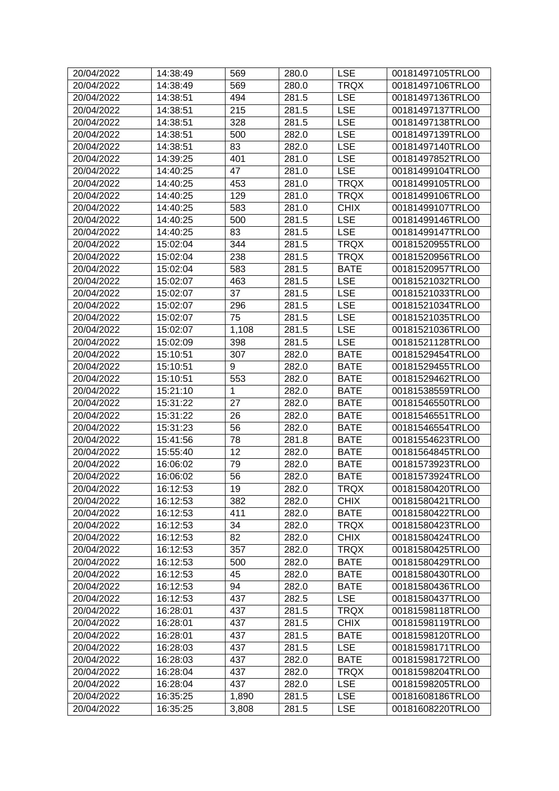| 20/04/2022 | 14:38:49 | 569   | 280.0 | <b>LSE</b>  | 00181497105TRLO0 |
|------------|----------|-------|-------|-------------|------------------|
| 20/04/2022 | 14:38:49 | 569   | 280.0 | <b>TRQX</b> | 00181497106TRLO0 |
| 20/04/2022 | 14:38:51 | 494   | 281.5 | <b>LSE</b>  | 00181497136TRLO0 |
| 20/04/2022 | 14:38:51 | 215   | 281.5 | <b>LSE</b>  | 00181497137TRLO0 |
| 20/04/2022 | 14:38:51 | 328   | 281.5 | <b>LSE</b>  | 00181497138TRLO0 |
| 20/04/2022 | 14:38:51 | 500   | 282.0 | <b>LSE</b>  | 00181497139TRLO0 |
| 20/04/2022 | 14:38:51 | 83    | 282.0 | <b>LSE</b>  | 00181497140TRLO0 |
| 20/04/2022 | 14:39:25 | 401   | 281.0 | <b>LSE</b>  | 00181497852TRLO0 |
| 20/04/2022 | 14:40:25 | 47    | 281.0 | <b>LSE</b>  | 00181499104TRLO0 |
| 20/04/2022 | 14:40:25 | 453   | 281.0 | <b>TRQX</b> | 00181499105TRLO0 |
| 20/04/2022 | 14:40:25 | 129   | 281.0 | <b>TRQX</b> | 00181499106TRLO0 |
| 20/04/2022 | 14:40:25 | 583   | 281.0 | <b>CHIX</b> | 00181499107TRLO0 |
| 20/04/2022 | 14:40:25 | 500   | 281.5 | <b>LSE</b>  | 00181499146TRLO0 |
| 20/04/2022 | 14:40:25 | 83    | 281.5 | <b>LSE</b>  | 00181499147TRLO0 |
| 20/04/2022 | 15:02:04 | 344   | 281.5 | <b>TRQX</b> | 00181520955TRLO0 |
| 20/04/2022 |          | 238   | 281.5 | <b>TRQX</b> |                  |
|            | 15:02:04 |       |       |             | 00181520956TRLO0 |
| 20/04/2022 | 15:02:04 | 583   | 281.5 | <b>BATE</b> | 00181520957TRLO0 |
| 20/04/2022 | 15:02:07 | 463   | 281.5 | <b>LSE</b>  | 00181521032TRLO0 |
| 20/04/2022 | 15:02:07 | 37    | 281.5 | <b>LSE</b>  | 00181521033TRLO0 |
| 20/04/2022 | 15:02:07 | 296   | 281.5 | <b>LSE</b>  | 00181521034TRLO0 |
| 20/04/2022 | 15:02:07 | 75    | 281.5 | <b>LSE</b>  | 00181521035TRLO0 |
| 20/04/2022 | 15:02:07 | 1,108 | 281.5 | <b>LSE</b>  | 00181521036TRLO0 |
| 20/04/2022 | 15:02:09 | 398   | 281.5 | <b>LSE</b>  | 00181521128TRLO0 |
| 20/04/2022 | 15:10:51 | 307   | 282.0 | <b>BATE</b> | 00181529454TRLO0 |
| 20/04/2022 | 15:10:51 | 9     | 282.0 | <b>BATE</b> | 00181529455TRLO0 |
| 20/04/2022 | 15:10:51 | 553   | 282.0 | <b>BATE</b> | 00181529462TRLO0 |
| 20/04/2022 | 15:21:10 | 1     | 282.0 | <b>BATE</b> | 00181538559TRLO0 |
| 20/04/2022 | 15:31:22 | 27    | 282.0 | <b>BATE</b> | 00181546550TRLO0 |
| 20/04/2022 | 15:31:22 | 26    | 282.0 | <b>BATE</b> | 00181546551TRLO0 |
| 20/04/2022 | 15:31:23 | 56    | 282.0 | <b>BATE</b> | 00181546554TRLO0 |
| 20/04/2022 | 15:41:56 | 78    | 281.8 | <b>BATE</b> | 00181554623TRLO0 |
| 20/04/2022 | 15:55:40 | 12    | 282.0 | <b>BATE</b> | 00181564845TRLO0 |
| 20/04/2022 | 16:06:02 | 79    | 282.0 | <b>BATE</b> | 00181573923TRLO0 |
| 20/04/2022 | 16:06:02 | 56    | 282.0 | <b>BATE</b> | 00181573924TRLO0 |
| 20/04/2022 | 16:12:53 | 19    | 282.0 | <b>TRQX</b> | 00181580420TRLO0 |
| 20/04/2022 | 16:12:53 | 382   | 282.0 | <b>CHIX</b> | 00181580421TRLO0 |
| 20/04/2022 | 16:12:53 | 411   | 282.0 | <b>BATE</b> | 00181580422TRLO0 |
| 20/04/2022 | 16:12:53 | 34    | 282.0 | <b>TRQX</b> | 00181580423TRLO0 |
| 20/04/2022 | 16:12:53 | 82    | 282.0 | <b>CHIX</b> | 00181580424TRLO0 |
| 20/04/2022 | 16:12:53 | 357   | 282.0 | <b>TRQX</b> | 00181580425TRLO0 |
| 20/04/2022 | 16:12:53 | 500   | 282.0 | <b>BATE</b> | 00181580429TRLO0 |
| 20/04/2022 | 16:12:53 | 45    | 282.0 | <b>BATE</b> | 00181580430TRLO0 |
| 20/04/2022 | 16:12:53 | 94    | 282.0 | <b>BATE</b> | 00181580436TRLO0 |
| 20/04/2022 | 16:12:53 | 437   | 282.5 | <b>LSE</b>  | 00181580437TRLO0 |
| 20/04/2022 | 16:28:01 | 437   | 281.5 | <b>TRQX</b> | 00181598118TRLO0 |
|            |          |       |       |             |                  |
| 20/04/2022 | 16:28:01 | 437   | 281.5 | <b>CHIX</b> | 00181598119TRLO0 |
| 20/04/2022 | 16:28:01 | 437   | 281.5 | <b>BATE</b> | 00181598120TRLO0 |
| 20/04/2022 | 16:28:03 | 437   | 281.5 | <b>LSE</b>  | 00181598171TRLO0 |
| 20/04/2022 | 16:28:03 | 437   | 282.0 | <b>BATE</b> | 00181598172TRLO0 |
| 20/04/2022 | 16:28:04 | 437   | 282.0 | <b>TRQX</b> | 00181598204TRLO0 |
| 20/04/2022 | 16:28:04 | 437   | 282.0 | <b>LSE</b>  | 00181598205TRLO0 |
| 20/04/2022 | 16:35:25 | 1,890 | 281.5 | <b>LSE</b>  | 00181608186TRLO0 |
| 20/04/2022 | 16:35:25 | 3,808 | 281.5 | <b>LSE</b>  | 00181608220TRLO0 |